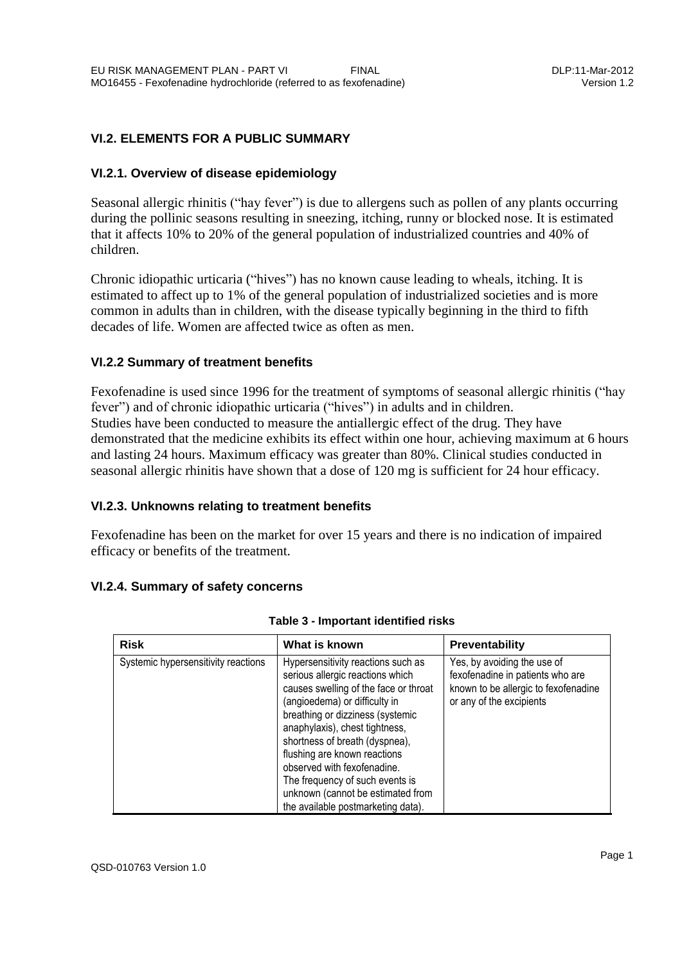# **VI.2. ELEMENTS FOR A PUBLIC SUMMARY**

## **VI.2.1. Overview of disease epidemiology**

Seasonal allergic rhinitis ("hay fever") is due to allergens such as pollen of any plants occurring during the pollinic seasons resulting in sneezing, itching, runny or blocked nose. It is estimated that it affects 10% to 20% of the general population of industrialized countries and 40% of children.

Chronic idiopathic urticaria ("hives") has no known cause leading to wheals, itching. It is estimated to affect up to 1% of the general population of industrialized societies and is more common in adults than in children, with the disease typically beginning in the third to fifth decades of life. Women are affected twice as often as men.

## **VI.2.2 Summary of treatment benefits**

Fexofenadine is used since 1996 for the treatment of symptoms of seasonal allergic rhinitis ("hay fever") and of chronic idiopathic urticaria ("hives") in adults and in children. Studies have been conducted to measure the antiallergic effect of the drug. They have demonstrated that the medicine exhibits its effect within one hour, achieving maximum at 6 hours and lasting 24 hours. Maximum efficacy was greater than 80%. Clinical studies conducted in seasonal allergic rhinitis have shown that a dose of 120 mg is sufficient for 24 hour efficacy.

# **VI.2.3. Unknowns relating to treatment benefits**

Fexofenadine has been on the market for over 15 years and there is no indication of impaired efficacy or benefits of the treatment.

# **VI.2.4. Summary of safety concerns**

| <b>Risk</b>                         | What is known                                                                                                                                                                                                                                                                                                                                                                                                                         | Preventability                                                                                                                      |
|-------------------------------------|---------------------------------------------------------------------------------------------------------------------------------------------------------------------------------------------------------------------------------------------------------------------------------------------------------------------------------------------------------------------------------------------------------------------------------------|-------------------------------------------------------------------------------------------------------------------------------------|
| Systemic hypersensitivity reactions | Hypersensitivity reactions such as<br>serious allergic reactions which<br>causes swelling of the face or throat<br>(angioedema) or difficulty in<br>breathing or dizziness (systemic<br>anaphylaxis), chest tightness,<br>shortness of breath (dyspnea),<br>flushing are known reactions<br>observed with fexofenadine.<br>The frequency of such events is<br>unknown (cannot be estimated from<br>the available postmarketing data). | Yes, by avoiding the use of<br>fexofenadine in patients who are<br>known to be allergic to fexofenadine<br>or any of the excipients |

#### **Table 3 - Important identified risks**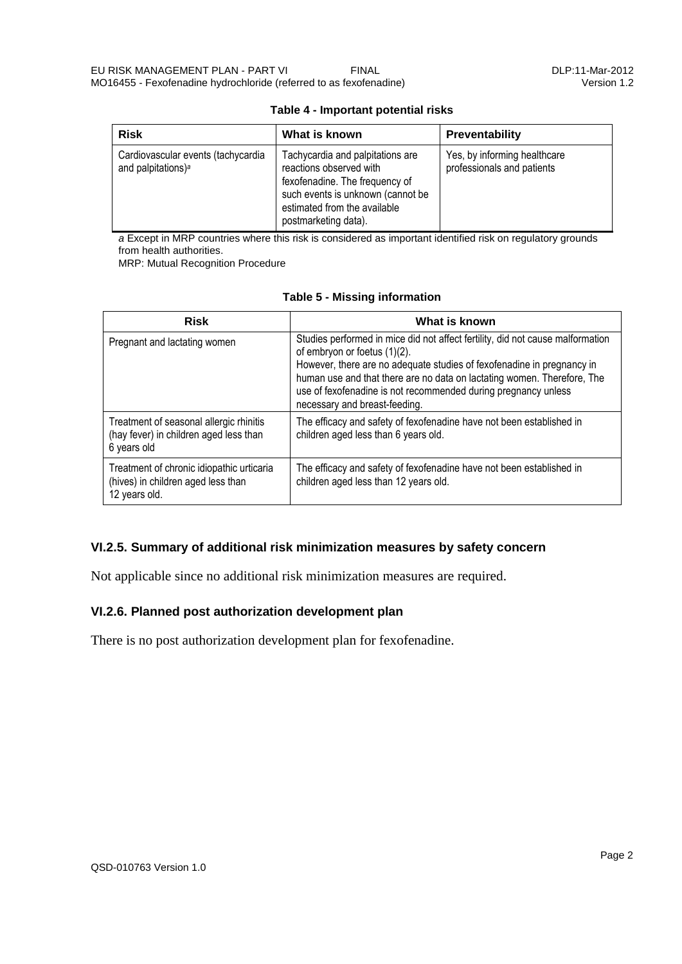| <b>Risk</b>                                                          | What is known                                                                                                                                                                              | <b>Preventability</b>                                      |
|----------------------------------------------------------------------|--------------------------------------------------------------------------------------------------------------------------------------------------------------------------------------------|------------------------------------------------------------|
| Cardiovascular events (tachycardia<br>and palpitations) <sup>a</sup> | Tachycardia and palpitations are<br>reactions observed with<br>fexofenadine. The frequency of<br>such events is unknown (cannot be<br>estimated from the available<br>postmarketing data). | Yes, by informing healthcare<br>professionals and patients |

#### **Table 4 - Important potential risks**

*a* Except in MRP countries where this risk is considered as important identified risk on regulatory grounds from health authorities.

MRP: Mutual Recognition Procedure

| <b>Risk</b>                                                                                      | What is known                                                                                                                                                                                                                                                                                                                                                          |  |
|--------------------------------------------------------------------------------------------------|------------------------------------------------------------------------------------------------------------------------------------------------------------------------------------------------------------------------------------------------------------------------------------------------------------------------------------------------------------------------|--|
| Pregnant and lactating women                                                                     | Studies performed in mice did not affect fertility, did not cause malformation<br>of embryon or foetus (1)(2).<br>However, there are no adequate studies of fexofenadine in pregnancy in<br>human use and that there are no data on lactating women. Therefore, The<br>use of fexofenadine is not recommended during pregnancy unless<br>necessary and breast-feeding. |  |
| Treatment of seasonal allergic rhinitis<br>(hay fever) in children aged less than<br>6 years old | The efficacy and safety of fexofenadine have not been established in<br>children aged less than 6 years old.                                                                                                                                                                                                                                                           |  |
| Treatment of chronic idiopathic urticaria<br>(hives) in children aged less than<br>12 years old. | The efficacy and safety of fexofenadine have not been established in<br>children aged less than 12 years old.                                                                                                                                                                                                                                                          |  |

## **Table 5 - Missing information**

# **VI.2.5. Summary of additional risk minimization measures by safety concern**

Not applicable since no additional risk minimization measures are required.

# **VI.2.6. Planned post authorization development plan**

There is no post authorization development plan for fexofenadine.